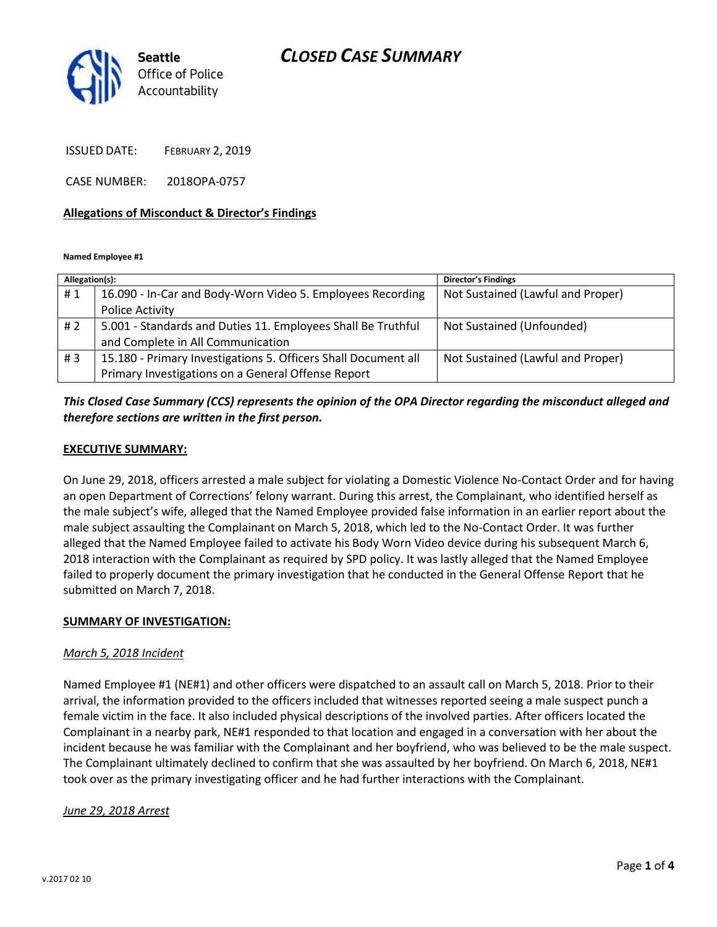# *CLOSED CASE SUMMARY*



ISSUED DATE: FEBRUARY 2, 2019

CASE NUMBER: 2018OPA-0757

#### **Allegations of Misconduct & Director's Findings**

**Named Employee #1**

| Allegation(s): |                                                                | <b>Director's Findings</b>        |
|----------------|----------------------------------------------------------------|-----------------------------------|
| #1             | 16.090 - In-Car and Body-Worn Video 5. Employees Recording     | Not Sustained (Lawful and Proper) |
|                | Police Activity                                                |                                   |
| #2             | 5.001 - Standards and Duties 11. Employees Shall Be Truthful   | Not Sustained (Unfounded)         |
|                | and Complete in All Communication                              |                                   |
| #3             | 15.180 - Primary Investigations 5. Officers Shall Document all | Not Sustained (Lawful and Proper) |
|                | Primary Investigations on a General Offense Report             |                                   |

# *This Closed Case Summary (CCS) represents the opinion of the OPA Director regarding the misconduct alleged and therefore sections are written in the first person.*

#### **EXECUTIVE SUMMARY:**

On June 29, 2018, officers arrested a male subject for violating a Domestic Violence No-Contact Order and for having an open Department of Corrections' felony warrant. During this arrest, the Complainant, who identified herself as the male subject's wife, alleged that the Named Employee provided false information in an earlier report about the male subject assaulting the Complainant on March 5, 2018, which led to the No-Contact Order. It was further alleged that the Named Employee failed to activate his Body Worn Video device during his subsequent March 6, 2018 interaction with the Complainant as required by SPD policy. It was lastly alleged that the Named Employee failed to properly document the primary investigation that he conducted in the General Offense Report that he submitted on March 7, 2018.

### **SUMMARY OF INVESTIGATION:**

#### *March 5, 2018 Incident*

Named Employee #1 (NE#1) and other officers were dispatched to an assault call on March 5, 2018. Prior to their arrival, the information provided to the officers included that witnesses reported seeing a male suspect punch a female victim in the face. It also included physical descriptions of the involved parties. After officers located the Complainant in a nearby park, NE#1 responded to that location and engaged in a conversation with her about the incident because he was familiar with the Complainant and her boyfriend, who was believed to be the male suspect. The Complainant ultimately declined to confirm that she was assaulted by her boyfriend. On March 6, 2018, NE#1 took over as the primary investigating officer and he had further interactions with the Complainant.

#### *June 29, 2018 Arrest*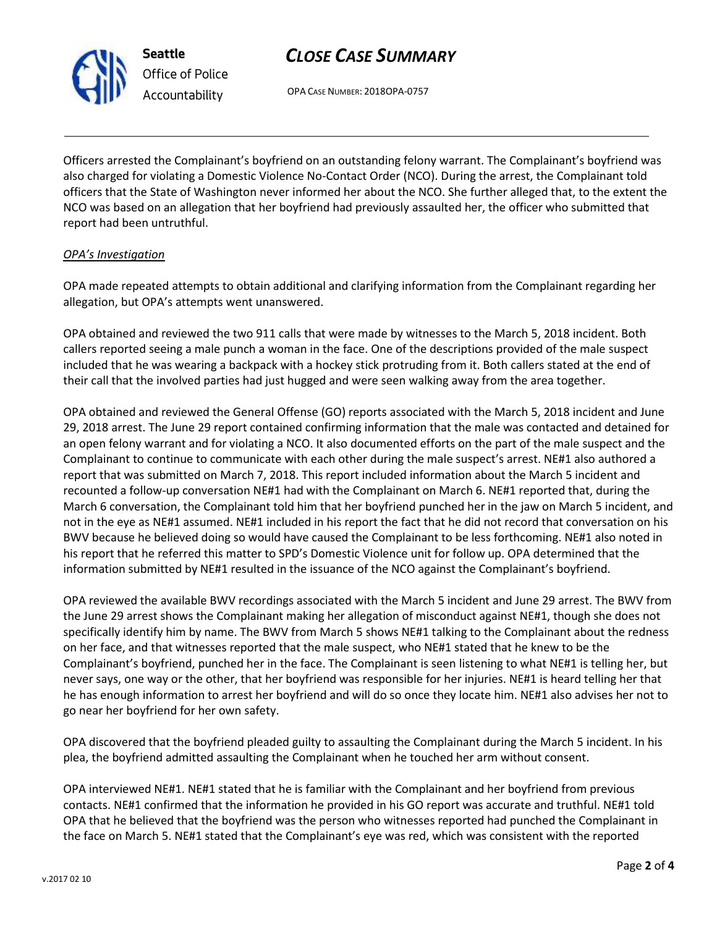

**Seattle** *Office of Police Accountability*

# *CLOSE CASE SUMMARY*

OPA CASE NUMBER: 2018OPA-0757

Officers arrested the Complainant's boyfriend on an outstanding felony warrant. The Complainant's boyfriend was also charged for violating a Domestic Violence No-Contact Order (NCO). During the arrest, the Complainant told officers that the State of Washington never informed her about the NCO. She further alleged that, to the extent the NCO was based on an allegation that her boyfriend had previously assaulted her, the officer who submitted that report had been untruthful.

# *OPA's Investigation*

OPA made repeated attempts to obtain additional and clarifying information from the Complainant regarding her allegation, but OPA's attempts went unanswered.

OPA obtained and reviewed the two 911 calls that were made by witnesses to the March 5, 2018 incident. Both callers reported seeing a male punch a woman in the face. One of the descriptions provided of the male suspect included that he was wearing a backpack with a hockey stick protruding from it. Both callers stated at the end of their call that the involved parties had just hugged and were seen walking away from the area together.

OPA obtained and reviewed the General Offense (GO) reports associated with the March 5, 2018 incident and June 29, 2018 arrest. The June 29 report contained confirming information that the male was contacted and detained for an open felony warrant and for violating a NCO. It also documented efforts on the part of the male suspect and the Complainant to continue to communicate with each other during the male suspect's arrest. NE#1 also authored a report that was submitted on March 7, 2018. This report included information about the March 5 incident and recounted a follow-up conversation NE#1 had with the Complainant on March 6. NE#1 reported that, during the March 6 conversation, the Complainant told him that her boyfriend punched her in the jaw on March 5 incident, and not in the eye as NE#1 assumed. NE#1 included in his report the fact that he did not record that conversation on his BWV because he believed doing so would have caused the Complainant to be less forthcoming. NE#1 also noted in his report that he referred this matter to SPD's Domestic Violence unit for follow up. OPA determined that the information submitted by NE#1 resulted in the issuance of the NCO against the Complainant's boyfriend.

OPA reviewed the available BWV recordings associated with the March 5 incident and June 29 arrest. The BWV from the June 29 arrest shows the Complainant making her allegation of misconduct against NE#1, though she does not specifically identify him by name. The BWV from March 5 shows NE#1 talking to the Complainant about the redness on her face, and that witnesses reported that the male suspect, who NE#1 stated that he knew to be the Complainant's boyfriend, punched her in the face. The Complainant is seen listening to what NE#1 is telling her, but never says, one way or the other, that her boyfriend was responsible for her injuries. NE#1 is heard telling her that he has enough information to arrest her boyfriend and will do so once they locate him. NE#1 also advises her not to go near her boyfriend for her own safety.

OPA discovered that the boyfriend pleaded guilty to assaulting the Complainant during the March 5 incident. In his plea, the boyfriend admitted assaulting the Complainant when he touched her arm without consent.

OPA interviewed NE#1. NE#1 stated that he is familiar with the Complainant and her boyfriend from previous contacts. NE#1 confirmed that the information he provided in his GO report was accurate and truthful. NE#1 told OPA that he believed that the boyfriend was the person who witnesses reported had punched the Complainant in the face on March 5. NE#1 stated that the Complainant's eye was red, which was consistent with the reported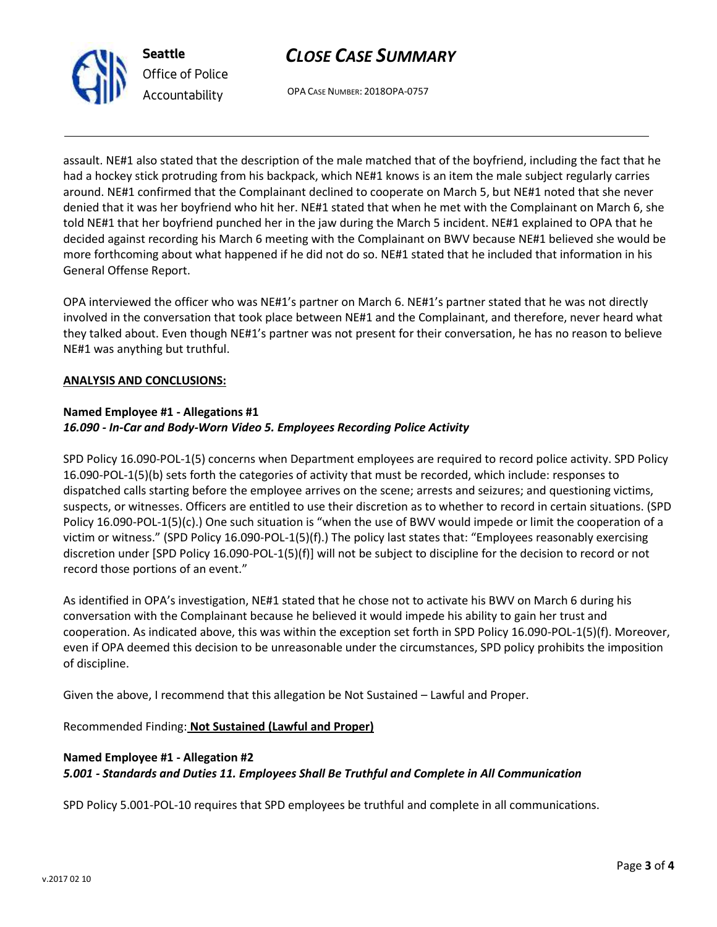

# *CLOSE CASE SUMMARY*

OPA CASE NUMBER: 2018OPA-0757

assault. NE#1 also stated that the description of the male matched that of the boyfriend, including the fact that he had a hockey stick protruding from his backpack, which NE#1 knows is an item the male subject regularly carries around. NE#1 confirmed that the Complainant declined to cooperate on March 5, but NE#1 noted that she never denied that it was her boyfriend who hit her. NE#1 stated that when he met with the Complainant on March 6, she told NE#1 that her boyfriend punched her in the jaw during the March 5 incident. NE#1 explained to OPA that he decided against recording his March 6 meeting with the Complainant on BWV because NE#1 believed she would be more forthcoming about what happened if he did not do so. NE#1 stated that he included that information in his General Offense Report.

OPA interviewed the officer who was NE#1's partner on March 6. NE#1's partner stated that he was not directly involved in the conversation that took place between NE#1 and the Complainant, and therefore, never heard what they talked about. Even though NE#1's partner was not present for their conversation, he has no reason to believe NE#1 was anything but truthful.

### **ANALYSIS AND CONCLUSIONS:**

## **Named Employee #1 - Allegations #1** *16.090 - In-Car and Body-Worn Video 5. Employees Recording Police Activity*

SPD Policy 16.090-POL-1(5) concerns when Department employees are required to record police activity. SPD Policy 16.090-POL-1(5)(b) sets forth the categories of activity that must be recorded, which include: responses to dispatched calls starting before the employee arrives on the scene; arrests and seizures; and questioning victims, suspects, or witnesses. Officers are entitled to use their discretion as to whether to record in certain situations. (SPD Policy 16.090-POL-1(5)(c).) One such situation is "when the use of BWV would impede or limit the cooperation of a victim or witness." (SPD Policy 16.090-POL-1(5)(f).) The policy last states that: "Employees reasonably exercising discretion under [SPD Policy 16.090-POL-1(5)(f)] will not be subject to discipline for the decision to record or not record those portions of an event."

As identified in OPA's investigation, NE#1 stated that he chose not to activate his BWV on March 6 during his conversation with the Complainant because he believed it would impede his ability to gain her trust and cooperation. As indicated above, this was within the exception set forth in SPD Policy 16.090-POL-1(5)(f). Moreover, even if OPA deemed this decision to be unreasonable under the circumstances, SPD policy prohibits the imposition of discipline.

Given the above, I recommend that this allegation be Not Sustained – Lawful and Proper.

Recommended Finding: **Not Sustained (Lawful and Proper)**

# **Named Employee #1 - Allegation #2** *5.001 - Standards and Duties 11. Employees Shall Be Truthful and Complete in All Communication*

SPD Policy 5.001-POL-10 requires that SPD employees be truthful and complete in all communications.